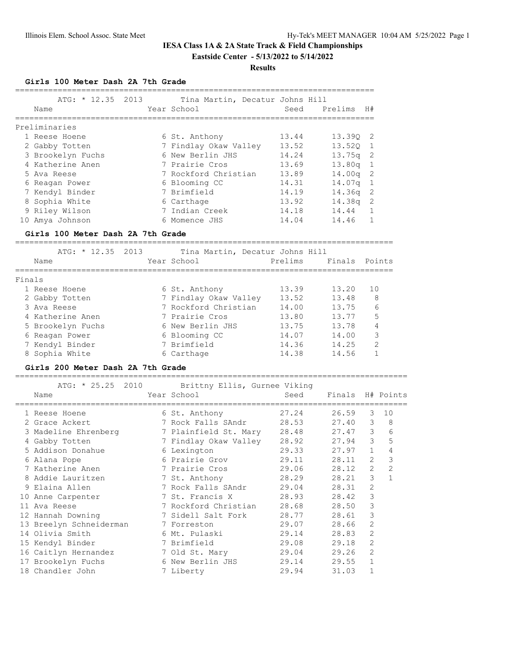#### **Results**

**Girls 100 Meter Dash 2A 7th Grade**

|        | ATG: * 12.35 2013                                                         | Tina Martin, Decatur Johns Hill    |                |         |                |              |
|--------|---------------------------------------------------------------------------|------------------------------------|----------------|---------|----------------|--------------|
|        | Name                                                                      | Year School                        | Seed           | Prelims | H#             |              |
|        | ===================                                                       |                                    |                |         |                |              |
|        | Preliminaries<br>1 Reese Hoene                                            |                                    | 13.44          |         |                |              |
|        |                                                                           | 6 St. Anthony                      | 13.52          | 13.39Q  | 2              |              |
|        | 2 Gabby Totten                                                            | 7 Findlay Okaw Valley              |                | 13.52Q  | 1              |              |
|        | 3 Brookelyn Fuchs<br>4 Katherine Anen                                     | 6 New Berlin JHS<br>7 Prairie Cros | 14.24<br>13.69 | 13.75q  | 2<br>1         |              |
|        |                                                                           | 7 Rockford Christian               |                | 13.80q  |                |              |
|        | 5 Ava Reese                                                               |                                    | 13.89          | 14.00q  | 2              |              |
|        | 6 Reagan Power                                                            | 6 Blooming CC                      | 14.31          | 14.07q  | $\mathbf 1$    |              |
|        | 7 Kendyl Binder                                                           | 7 Brimfield                        | 14.19          | 14.36q  | 2              |              |
|        | 8 Sophia White                                                            | 6 Carthage                         | 13.92          | 14.38q  | 2              |              |
|        | 9 Riley Wilson                                                            | 7 Indian Creek                     | 14.18          | 14.44   | $\mathbf{1}$   |              |
|        | 10 Amya Johnson                                                           | 6 Momence JHS                      | 14.04          | 14.46   | $\mathbf 1$    |              |
|        | Girls 100 Meter Dash 2A 7th Grade<br>____________________________________ |                                    |                |         |                |              |
|        | ATG: * 12.35 2013                                                         | Tina Martin, Decatur Johns Hill    |                |         |                |              |
|        | Name                                                                      | Year School                        | Prelims        | Finals  |                | Points       |
| Finals |                                                                           |                                    |                |         |                |              |
|        | 1 Reese Hoene                                                             | 6 St. Anthony                      | 13.39          | 13.20   | 10             |              |
|        | 2 Gabby Totten                                                            | 7 Findlay Okaw Valley              | 13.52          | 13.48   |                | 8            |
|        | 3 Ava Reese                                                               | 7 Rockford Christian               | 14.00          | 13.75   |                | 6            |
|        | 4 Katherine Anen                                                          | 7 Prairie Cros                     | 13.80          | 13.77   |                | 5            |
|        |                                                                           |                                    | 13.75          |         |                |              |
|        | 5 Brookelyn Fuchs                                                         | 6 New Berlin JHS                   |                | 13.78   |                | 4            |
|        | 6 Reagan Power                                                            | 6 Blooming CC                      | 14.07          | 14.00   |                | 3            |
|        | 7 Kendyl Binder                                                           | 7 Brimfield                        | 14.36          | 14.25   |                | 2            |
|        | 8 Sophia White                                                            | 6 Carthage                         | 14.38          | 14.56   |                | $\mathbf 1$  |
|        | Girls 200 Meter Dash 2A 7th Grade<br>===================================  |                                    |                |         |                |              |
|        | ATG: $* 25.25$<br>2010                                                    | Brittny Ellis, Gurnee Viking       |                |         |                |              |
|        | Name                                                                      | Year School                        | Seed           | Finals  |                | H# Points    |
|        | 1 Reese Hoene                                                             | 6 St. Anthony                      | 27.24          | 26.59   | 3              | 10           |
|        | 2 Grace Ackert                                                            | 7 Rock Falls SAndr                 | 28.53          | 27.40   | 3              | 8            |
|        | 3 Madeline Ehrenberg                                                      | 7 Plainfield St. Mary              | 28.48          | 27.47   | 3              | 6            |
|        | 4 Gabby Totten                                                            | 7 Findlay Okaw Valley              | 28.92          | 27.94   | 3              | 5            |
|        | 5 Addison Donahue                                                         | 6 Lexington                        | 29.33          | 27.97   | $\mathbf{1}$   | 4            |
|        | 6 Alana Pope                                                              | 6 Prairie Grov                     | 29.11          | 28.11   | $\overline{2}$ | 3            |
|        | 7 Katherine Anen                                                          | 7 Prairie Cros                     | 29.06          | 28.12   | 2              | 2            |
|        | 8 Addie Lauritzen                                                         | 7 St. Anthony                      | 28.29          | 28.21   | 3              | $\mathbf{1}$ |
|        | 9 Elaina Allen                                                            | 7 Rock Falls SAndr                 | 29.04          | 28.31   | $\sqrt{2}$     |              |
|        | 10 Anne Carpenter                                                         | 7 St. Francis X                    | 28.93          | 28.42   | 3              |              |
|        |                                                                           |                                    | 28.68          |         |                |              |
|        | 11 Ava Reese                                                              | 7 Rockford Christian               |                | 28.50   | 3              |              |
|        | 12 Hannah Downing                                                         | 7 Sidell Salt Fork                 | 28.77          | 28.61   | 3              |              |
|        | 13 Breelyn Schneiderman                                                   | 7 Forreston                        | 29.07          | 28.66   | $\mathbf{2}$   |              |
|        | 14 Olivia Smith                                                           | 6 Mt. Pulaski                      | 29.14          | 28.83   | 2              |              |
|        | 15 Kendyl Binder                                                          | 7 Brimfield                        | 29.08          | 29.18   | $\overline{c}$ |              |
|        | 16 Caitlyn Hernandez                                                      | 7 Old St. Mary                     | 29.04          | 29.26   | $\mathbf{2}$   |              |
|        | 17 Brookelyn Fuchs                                                        | 6 New Berlin JHS                   | 29.14          | 29.55   | $\mathbf{1}$   |              |
|        | 18 Chandler John                                                          | 7 Liberty                          | 29.94          | 31.03   | $\mathbf 1$    |              |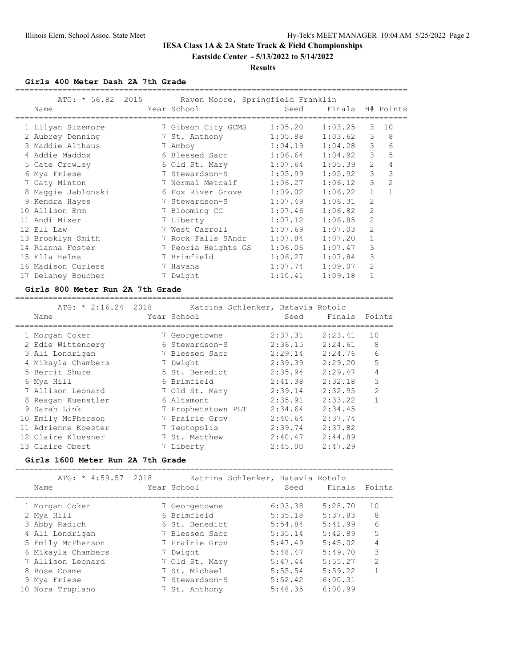#### **Results**

**Girls 400 Meter Dash 2A 7th Grade**

| ATG: * 56.82 2015<br>Name | Raven Moore, Springfield Franklin<br>Year School | Seed                | Finals H# Points |                |                |
|---------------------------|--------------------------------------------------|---------------------|------------------|----------------|----------------|
|                           |                                                  |                     |                  |                |                |
| 1 Lilyan Sizemore         | 7 Gibson City GCMS 1:05.20                       |                     | 1:03.25          | 3              | 10             |
| 2 Aubrey Denning          | 7 St. Anthony 1:05.88 1:03.62                    |                     |                  | 3              | 8              |
| 3 Maddie Althaus          | 7 Amboy                                          | $1:04.19$ $1:04.28$ |                  | $\mathcal{E}$  | 6              |
| 4 Addie Maddox            | 6 Blessed Sacr 1:06.64                           |                     | 1:04.92          | 3              | 5              |
| 5 Cate Crowley            | 6 Old St. Mary                                   | 1:07.64             | 1:05.39          | $\overline{2}$ | 4              |
| 6 Mya Friese              | 7 Stewardson-S 1:05.99                           |                     | 1:05.92          | 3              | 3              |
| 7 Caty Minton             | 7 Normal Metcalf 1:06.27                         |                     | 1:06.12          | 3              | $\overline{2}$ |
| 8 Maggie Jablonski        | 6 Fox River Grove 1:09.02                        |                     | 1:06.22          | $\mathbf{1}$   | $\mathbf{1}$   |
| 9 Kendra Hayes            | 7 Stewardson-S 1:07.49                           |                     | 1:06.31          | $\overline{2}$ |                |
| 10 Allison Emm            | 7 Blooming CC                                    | 1:07.46             | 1:06.82          | $\overline{2}$ |                |
| 11 Andi Mixer             | 7 Liberty                                        | 1:07.12             | 1:06.85          | 2              |                |
| 12 Ell Law                | 7 West Carroll 1:07.69                           |                     | 1:07.03          | 2              |                |
| 13 Brooklyn Smith         | 7 Rock Falls SAndr 1:07.84                       |                     | 1:07.20          | $\mathbf{1}$   |                |
| 14 Rianna Foster          | 7 Peoria Heights GS                              | 1:06.06             | 1:07.47          | 3              |                |
| 15 Ella Helms             | 7 Brimfield                                      | 1:06.27             | 1:07.84          | 3              |                |
| 16 Madison Curless        | 7 Havana                                         | 1:07.74             | 1:09.07          | 2              |                |
| 17 Delaney Boucher        | 7 Dwight                                         | 1:10.41             | 1:09.18          |                |                |

#### **Girls 800 Meter Run 2A 7th Grade**

 ATG: \* 2:16.24 2018 Katrina Schlenker, Batavia Rotolo Name Year School Seed Finals Points ================================================================================ 1 Morgan Coker 7 Georgetowne 2:37.31 2:23.41 10 2 Edie Wittenberg 6 Stewardson-S 2:36.15 2:24.61 8 3 Ali Londrigan 7 Blessed Sacr 2:29.14 2:24.76 6 4 Mikayla Chambers 7 Dwight 2:39.39 2:29.20 5 5 Berrit Shure 5 St. Benedict 2:35.94 2:29.47 4 6 Mya Hill 6 Brimfield 2:41.38 2:32.18 3 7 Allison Leonard 7 Old St. Mary 2:39.14 2:32.95 2 8 Reagan Kuenstler 6 Altamont 2:35.91 2:33.22 1 9 Sarah Link 7 Prophetstown PLT 2:34.64 2:34.45 10 Emily McPherson 7 Prairie Grov 2:40.64 2:37.74 11 Adrienne Koester 7 Teutopolis 2:39.74 2:37.82 12 Claire Kluesner 7 St. Matthew 2:40.47 2:44.89 13 Claire Obert 7 Liberty 2:45.00 2:47.29

================================================================================

#### **Girls 1600 Meter Run 2A 7th Grade**

================================================================================

| ATG: * 4:59.57 2018          | Katrina Schlenker, Batavia Rotolo |         |         |                |
|------------------------------|-----------------------------------|---------|---------|----------------|
| Name                         | Year School                       | Seed    | Finals  | Points         |
|                              |                                   | 6:03.38 | 5:28.70 | 10             |
| 1 Morgan Coker<br>2 Mya Hill | 7 Georgetowne<br>6 Brimfield      | 5:35.18 | 5:37.83 | 8              |
| 3 Abby Radich                | 6 St. Benedict                    | 5:54.84 | 5:41.99 | 6              |
| 4 Ali Londrigan              | 7 Blessed Sacr                    | 5:35.14 | 5:42.89 | 5              |
| 5 Emily McPherson            | 7 Prairie Grov                    | 5:47.49 | 5:45.02 | 4              |
| 6 Mikayla Chambers           | 7 Dwight                          | 5:48.47 | 5:49.70 | 3              |
| 7 Allison Leonard            | 7 Old St. Mary                    | 5:47.44 | 5:55.27 | $\mathfrak{D}$ |
| 8 Rose Cosme                 | 7 St. Michael                     | 5:55.54 | 5:59.22 |                |
| 9 Mya Friese                 | 7 Stewardson-S                    | 5:52.42 | 6:00.31 |                |
| 10 Nora Trupiano             | 7 St. Anthony                     | 5:48.35 | 6:00.99 |                |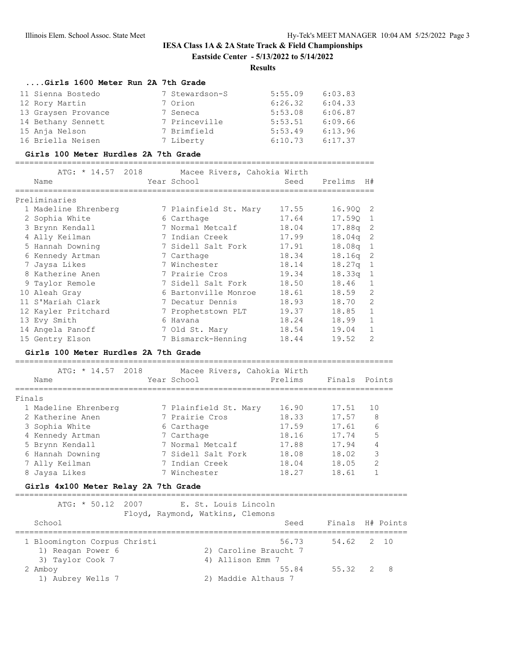#### **Results**

### **....Girls 1600 Meter Run 2A 7th Grade**

| 11 Sienna Bostedo   | 7 Stewardson-S | 5:55.09 | 6:03.83 |
|---------------------|----------------|---------|---------|
| 12 Rory Martin      | 7 Orion        | 6:26.32 | 6:04.33 |
| 13 Graysen Provance | 7 Seneca       | 5:53.08 | 6:06.87 |
| 14 Bethany Sennett  | 7 Princeville  | 5:53.51 | 6:09.66 |
| 15 Anja Nelson      | 7 Brimfield    | 5:53.49 | 6:13.96 |
| 16 Briella Neisen   | 7 Liberty      | 6:10.73 | 6:17.37 |

#### **Girls 100 Meter Hurdles 2A 7th Grade**

============================================================================

|   | ATG: * 14.57 2018    | Macee Rivers, Cahokia Wirth |       |          |                |
|---|----------------------|-----------------------------|-------|----------|----------------|
|   | Name                 | Year School                 | Seed  | Prelims  | H#             |
|   | Preliminaries        |                             |       |          |                |
|   | 1 Madeline Ehrenberg | 7 Plainfield St. Mary       | 17.55 | 16.900 2 |                |
|   | 2 Sophia White       | 6 Carthage                  | 17.64 | 17.590   | 1              |
|   | 3 Brynn Kendall      | 7 Normal Metcalf            | 18.04 | 17.88a   | -2             |
|   | 4 Ally Keilman       | 7 Indian Creek              | 17.99 | 18.04q   | -2             |
|   | 5 Hannah Downing     | 7 Sidell Salt Fork          | 17.91 | 18.08q   | -1             |
|   | 6 Kennedy Artman     | 7 Carthage                  | 18.34 | 18.16q   | -2             |
|   | 7 Jaysa Likes        | 7 Winchester                | 18.14 | 18.27q   | 1              |
| 8 | Katherine Anen       | 7 Prairie Cros              | 19.34 | 18.33q   | 1              |
|   | 9 Taylor Remole      | 7 Sidell Salt Fork          | 18.50 | 18.46    |                |
|   | 10 Aleah Gray        | 6 Bartonville Monroe        | 18.61 | 18.59    | $\overline{2}$ |
|   | 11 S'Mariah Clark    | 7 Decatur Dennis            | 18.93 | 18.70    | $\overline{2}$ |
|   | 12 Kayler Pritchard  | 7 Prophetstown PLT          | 19.37 | 18.85    | 1              |
|   | 13 Evy Smith         | 6 Havana                    | 18.24 | 18.99    | 1              |
|   | 14 Angela Panoff     | 7 Old St. Mary              | 18.54 | 19.04    | 1              |
|   | 15 Gentry Elson      | 7 Bismarck-Henning          | 18.44 | 19.52    | $\overline{2}$ |

#### **Girls 100 Meter Hurdles 2A 7th Grade**

 ATG: \* 14.57 2018 Macee Rivers, Cahokia Wirth Name Year School Prelims Finals Points ================================================================================ Finals

================================================================================

| 1 Madeline Ehrenberg | 7 Plainfield St. Mary | 16.90 | 17.51 | 10 |
|----------------------|-----------------------|-------|-------|----|
| 2 Katherine Anen     | 7 Prairie Cros        | 18.33 | 17.57 | 8  |
| 3 Sophia White       | 6 Carthage            | 17.59 | 17.61 | 6  |
| 4 Kennedy Artman     | 7 Carthage            | 18.16 | 17.74 | 5  |
| 5 Brynn Kendall      | 7 Normal Metcalf      | 17.88 | 17.94 | 4  |
| 6 Hannah Downing     | 7 Sidell Salt Fork    | 18.08 | 18.02 | 3  |
| 7 Ally Keilman       | 7 Indian Creek        | 18.04 | 18.05 | 2  |
| 8 Jaysa Likes        | 7 Winchester          | 18.27 | 18.61 |    |

#### **Girls 4x100 Meter Relay 2A 7th Grade**

=================================================================================== ATG: \* 50.12 2007 E. St. Louis Lincoln Floyd, Raymond, Watkins, Clemons School School Seed Finals H# Points =================================================================================== 1 Bloomington Corpus Christi 56.73<br>1) Reagan Power 6 2) Caroline Braucht 7 1) Reagan Power 6 3) Taylor Cook 7 4) Allison Emm 7 2 Amboy 55.84 55.32 2 8 1) Aubrey Wells 7 2) Maddie Althaus 7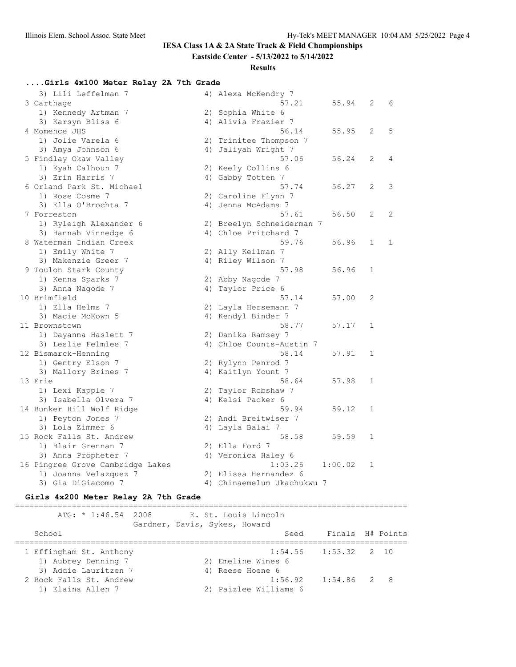# **IESA Class 1A & 2A State Track & Field Championships**

**Eastside Center - 5/13/2022 to 5/14/2022**

### **Results**

# **....Girls 4x100 Meter Relay 2A 7th Grade**

| 3) Lili Leffelman 7                   | 4) Alexa McKendry 7        |         |              |              |
|---------------------------------------|----------------------------|---------|--------------|--------------|
| 3 Carthage                            | 57.21                      | 55.94   | 2            | 6            |
| 1) Kennedy Artman 7                   | 2) Sophia White 6          |         |              |              |
| 3) Karsyn Bliss 6                     | 4) Alivia Frazier 7        |         |              |              |
| 4 Momence JHS                         | 56.14                      | 55.95   | 2            | 5            |
| 1) Jolie Varela 6                     | 2) Trinitee Thompson 7     |         |              |              |
| 3) Amya Johnson 6                     | 4) Jaliyah Wright 7        |         |              |              |
| 5 Findlay Okaw Valley                 | 57.06                      | 56.24   | 2            | 4            |
| 1) Kyah Calhoun 7                     | 2) Keely Collins 6         |         |              |              |
| 3) Erin Harris 7                      | 4) Gabby Totten 7          |         |              |              |
| 6 Orland Park St. Michael             | 57.74                      | 56.27   | 2            | 3            |
| 1) Rose Cosme 7                       | 2) Caroline Flynn 7        |         |              |              |
| 3) Ella O'Brochta 7                   | 4) Jenna McAdams 7         |         |              |              |
| 7 Forreston                           | 57.61                      | 56.50   | 2            | 2            |
| 1) Ryleigh Alexander 6                | 2) Breelyn Schneiderman 7  |         |              |              |
| 3) Hannah Vinnedge 6                  | 4) Chloe Pritchard 7       |         |              |              |
| 8 Waterman Indian Creek               | 59.76                      | 56.96   | $\mathbf{1}$ | $\mathbf{1}$ |
| 1) Emily White 7                      | 2) Ally Keilman 7          |         |              |              |
| 3) Makenzie Greer 7                   | 4) Riley Wilson 7          |         |              |              |
| 9 Toulon Stark County                 | 57.98                      | 56.96   | $\mathbf 1$  |              |
| 1) Kenna Sparks 7                     | 2) Abby Nagode 7           |         |              |              |
| 3) Anna Nagode 7                      | 4) Taylor Price 6          |         |              |              |
| 10 Brimfield                          | 57.14                      | 57.00   | 2            |              |
| 1) Ella Helms 7                       | 2) Layla Hersemann 7       |         |              |              |
| 3) Macie McKown 5                     | 4) Kendyl Binder 7         |         |              |              |
| 11 Brownstown                         | 58.77                      | 57.17   | $\mathbf 1$  |              |
| 1) Dayanna Haslett 7                  | 2) Danika Ramsey 7         |         |              |              |
| 3) Leslie Felmlee 7                   | 4) Chloe Counts-Austin 7   |         |              |              |
| 12 Bismarck-Henning                   | 58.14                      | 57.91   | 1            |              |
| 1) Gentry Elson 7                     | 2) Rylynn Penrod 7         |         |              |              |
| 3) Mallory Brines 7                   | 4) Kaitlyn Yount 7         |         |              |              |
| 13 Erie                               | 58.64                      | 57.98   | 1            |              |
| 1) Lexi Kapple 7                      | 2) Taylor Robshaw 7        |         |              |              |
| 3) Isabella Olvera 7                  | 4) Kelsi Packer 6          |         |              |              |
|                                       | 59.94                      | 59.12   | $\mathbf 1$  |              |
| 14 Bunker Hill Wolf Ridge             | 2) Andi Breitwiser 7       |         |              |              |
| 1) Peyton Jones 7<br>3) Lola Zimmer 6 |                            |         |              |              |
|                                       | 4) Layla Balai 7           |         | $\mathbf 1$  |              |
| 15 Rock Falls St. Andrew              | 58.58                      | 59.59   |              |              |
| 1) Blair Grennan 7                    | 2) Ella Ford 7             |         |              |              |
| 3) Anna Propheter 7                   | 4) Veronica Haley 6        |         |              |              |
| 16 Pingree Grove Cambridge Lakes      | 1:03.26                    | 1:00.02 | 1            |              |
| 1) Joanna Velazquez 7                 | 2) Elissa Hernandez 6      |         |              |              |
| 3) Gia DiGiacomo 7                    | 4) Chinaemelum Ukachukwu 7 |         |              |              |

### **Girls 4x200 Meter Relay 2A 7th Grade**

| $ATG: * 1:46.54 2008$                          | Gardner, Davis, Sykes, Howard | E. St. Louis Lincoln             |                          |     |
|------------------------------------------------|-------------------------------|----------------------------------|--------------------------|-----|
| School                                         |                               | Seed                             | Finals H# Points         |     |
| 1 Effingham St. Anthony<br>1) Aubrey Denning 7 |                               | 2) Emeline Wines 6               | $1:54.56$ $1:53.32$ 2 10 |     |
| 3) Addie Lauritzen 7                           |                               | 4) Reese Hoene 6                 |                          |     |
| 2 Rock Falls St. Andrew<br>1) Elaina Allen 7   |                               | 1:56.92<br>2) Paizlee Williams 6 | $1:54.86$ 2              | - 8 |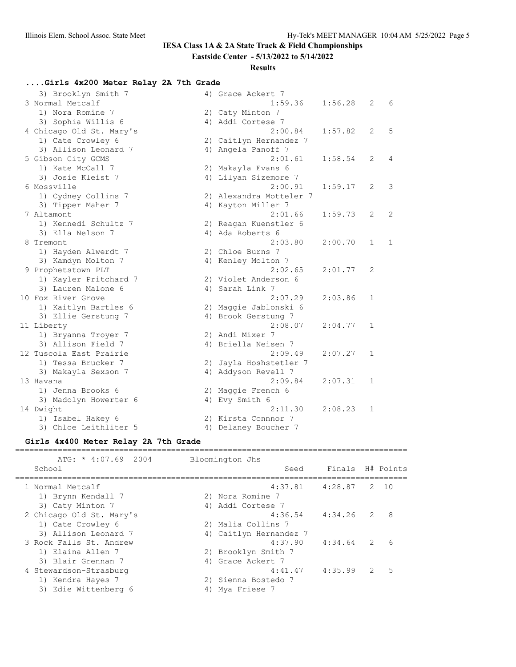# **IESA Class 1A & 2A State Track & Field Championships**

### **Eastside Center - 5/13/2022 to 5/14/2022**

### **Results**

# **....Girls 4x200 Meter Relay 2A 7th Grade**

| 3) Brooklyn Smith 7      | 4) Grace Ackert 7       |         |              |              |
|--------------------------|-------------------------|---------|--------------|--------------|
| 3 Normal Metcalf         | 1:59.36                 | 1:56.28 | 2            | 6            |
| 1) Nora Romine 7         | 2) Caty Minton 7        |         |              |              |
| 3) Sophia Willis 6       | 4) Addi Cortese 7       |         |              |              |
| 4 Chicago Old St. Mary's | 2:00.84                 | 1:57.82 | 2            | .5           |
| 1) Cate Crowley 6        | 2) Caitlyn Hernandez 7  |         |              |              |
| 3) Allison Leonard 7     | 4) Angela Panoff 7      |         |              |              |
| 5 Gibson City GCMS       | 2:01.61                 | 1:58.54 | 2            | 4            |
| 1) Kate McCall 7         | 2) Makayla Evans 6      |         |              |              |
| 3) Josie Kleist 7        | 4) Lilyan Sizemore 7    |         |              |              |
| 6 Mossville              | 2:00.91                 | 1:59.17 | 2            | 3            |
| 1) Cydney Collins 7      | 2) Alexandra Motteler 7 |         |              |              |
| 3) Tipper Maher 7        | 4) Kayton Miller 7      |         |              |              |
| 7 Altamont               | 2:01.66                 | 1:59.73 | 2            | 2            |
| 1) Kennedi Schultz 7     | 2) Reagan Kuenstler 6   |         |              |              |
| 3) Ella Nelson 7         | 4) Ada Roberts 6        |         |              |              |
| 8 Tremont                | 2:03.80                 | 2:00.70 | $\mathbf{1}$ | $\mathbf{1}$ |
| 1) Hayden Alwerdt 7      | 2) Chloe Burns 7        |         |              |              |
| 3) Kamdyn Molton 7       | 4) Kenley Molton 7      |         |              |              |
| 9 Prophetstown PLT       | 2:02.65                 | 2:01.77 | 2            |              |
| 1) Kayler Pritchard 7    | 2) Violet Anderson 6    |         |              |              |
| 3) Lauren Malone 6       | 4) Sarah Link 7         |         |              |              |
| 10 Fox River Grove       | 2:07.29                 | 2:03.86 | $\mathbf 1$  |              |
| 1) Kaitlyn Bartles 6     | 2) Maggie Jablonski 6   |         |              |              |
| 3) Ellie Gerstung 7      | 4) Brook Gerstung 7     |         |              |              |
| 11 Liberty               | 2:08.07                 | 2:04.77 | 1            |              |
| 1) Bryanna Troyer 7      | 2) Andi Mixer 7         |         |              |              |
| 3) Allison Field 7       | 4) Briella Neisen 7     |         |              |              |
| 12 Tuscola East Prairie  | 2:09.49                 | 2:07.27 | $\mathbf 1$  |              |
| 1) Tessa Brucker 7       | 2) Jayla Hoshstetler 7  |         |              |              |
| 3) Makayla Sexson 7      | 4) Addyson Revell 7     |         |              |              |
| 13 Havana                | 2:09.84                 | 2:07.31 | 1            |              |
| 1) Jenna Brooks 6        | 2) Maggie French 6      |         |              |              |
| 3) Madolyn Howerter 6    | 4) Evy Smith 6          |         |              |              |
| 14 Dwight                | 2:11.30                 | 2:08.23 | $\mathbf{1}$ |              |
| 1) Isabel Hakey 6        | 2) Kirsta Connnor 7     |         |              |              |
| 3) Chloe Leithliter 5    | 4) Delaney Boucher 7    |         |              |              |
|                          |                         |         |              |              |

### **Girls 4x400 Meter Relay 2A 7th Grade**

| $ATG: * 4:07.69 2004$    | Bloomington Jhs        |                          |               |            |
|--------------------------|------------------------|--------------------------|---------------|------------|
| School                   |                        | Finals H# Points<br>Seed |               |            |
| 1 Normal Metcalf         |                        | $4:37.81$ $4:28.87$      | $\mathcal{L}$ | 10         |
| 1) Brynn Kendall 7       | 2) Nora Romine 7       |                          |               |            |
| 3) Caty Minton 7         | 4) Addi Cortese 7      |                          |               |            |
| 2 Chicago Old St. Mary's | 4:36.54                | 4:34.26                  | 2             | 8          |
| 1) Cate Crowley 6        | 2) Malia Collins 7     |                          |               |            |
| 3) Allison Leonard 7     | 4) Caitlyn Hernandez 7 |                          |               |            |
| 3 Rock Falls St. Andrew  | 4:37.90                | 4:34.64                  | 2             | $\epsilon$ |
| 1) Elaina Allen 7        | 2) Brooklyn Smith 7    |                          |               |            |
| 3) Blair Grennan 7       | 4) Grace Ackert 7      |                          |               |            |
| 4 Stewardson-Strasburg   |                        | 4:35.99<br>4:41.47       | 2             | 5          |
| 1) Kendra Hayes 7        | 2) Sienna Bostedo 7    |                          |               |            |
| 3) Edie Wittenberg 6     | 4) Mya Friese 7        |                          |               |            |
|                          |                        |                          |               |            |

===================================================================================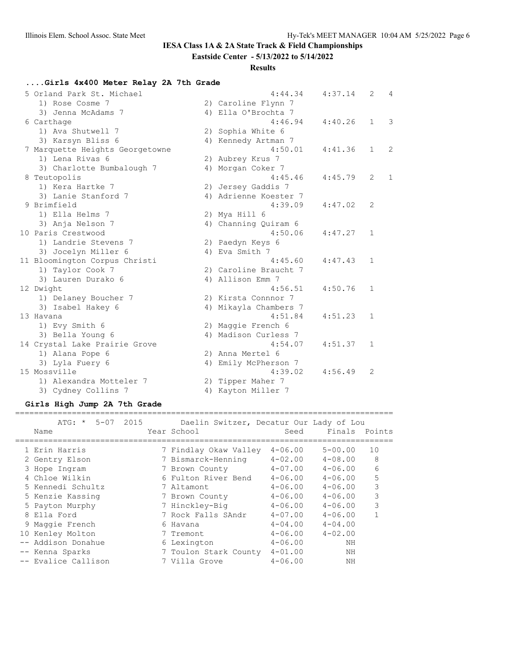# **IESA Class 1A & 2A State Track & Field Championships**

**Eastside Center - 5/13/2022 to 5/14/2022**

### **Results**

# **....Girls 4x400 Meter Relay 2A 7th Grade**

| 5 Orland Park St. Michael       | 4:44.34               | 4:37.14 | 2            | $\overline{4}$ |
|---------------------------------|-----------------------|---------|--------------|----------------|
| 1) Rose Cosme 7                 | 2) Caroline Flynn 7   |         |              |                |
| 3) Jenna McAdams 7              | 4) Ella O'Brochta 7   |         |              |                |
| 6 Carthage                      | 4:46.94               | 4:40.26 | $\mathbf{1}$ | 3              |
| 1) Ava Shutwell 7               | 2) Sophia White 6     |         |              |                |
| 3) Karsyn Bliss 6               | 4) Kennedy Artman 7   |         |              |                |
| 7 Marquette Heights Georgetowne | 4:50.01               | 4:41.36 | 1            | 2              |
| 1) Lena Rivas 6                 | 2) Aubrey Krus 7      |         |              |                |
| 3) Charlotte Bumbalough 7       | 4) Morgan Coker 7     |         |              |                |
| 8 Teutopolis                    | 4:45.46               | 4:45.79 | 2            | $\mathbf{1}$   |
| 1) Kera Hartke 7                | 2) Jersey Gaddis 7    |         |              |                |
| 3) Lanie Stanford 7             | 4) Adrienne Koester 7 |         |              |                |
| 9 Brimfield                     | 4:39.09               | 4:47.02 | 2            |                |
| 1) Ella Helms 7                 | 2) Mya Hill 6         |         |              |                |
| 3) Anja Nelson 7                | 4) Channing Quiram 6  |         |              |                |
| 10 Paris Crestwood              | 4:50.06               | 4:47.27 | 1            |                |
| 1) Landrie Stevens 7            | 2) Paedyn Keys 6      |         |              |                |
| 3) Jocelyn Miller 6             | 4) Eva Smith 7        |         |              |                |
| 11 Bloomington Corpus Christi   | 4:45.60               | 4:47.43 | $\mathbf{1}$ |                |
| 1) Taylor Cook 7                | 2) Caroline Braucht 7 |         |              |                |
| 3) Lauren Durako 6              | 4) Allison Emm 7      |         |              |                |
| 12 Dwight                       | 4:56.51               | 4:50.76 | 1            |                |
| 1) Delaney Boucher 7            | 2) Kirsta Connnor 7   |         |              |                |
| 3) Isabel Hakey 6               | 4) Mikayla Chambers 7 |         |              |                |
| 13 Havana                       | 4:51.84               | 4:51.23 | $\mathbf{1}$ |                |
| 1) Evy Smith 6                  | 2) Maggie French 6    |         |              |                |
| 3) Bella Young 6                | 4) Madison Curless 7  |         |              |                |
| 14 Crystal Lake Prairie Grove   | 4:54.07               | 4:51.37 | $\mathbf{1}$ |                |
| 1) Alana Pope 6                 | 2) Anna Mertel 6      |         |              |                |
| 3) Lyla Fuery 6                 | 4) Emily McPherson 7  |         |              |                |
| 15 Mossville                    | 4:39.02               | 4:56.49 | 2            |                |
| 1) Alexandra Motteler 7         | 2) Tipper Maher 7     |         |              |                |
| 3) Cydney Collins 7             | 4) Kayton Miller 7    |         |              |                |

#### **Girls High Jump 2A 7th Grade**

| ATG: * 5-07 2015<br>Name | Daelin Switzer, Decatur Our Lady of Lou<br>Year School | Seed        | Finals Points |    |
|--------------------------|--------------------------------------------------------|-------------|---------------|----|
| 1 Erin Harris            | 7 Findlay Okaw Valley                                  | $4 - 06.00$ | $5 - 00.00$   | 10 |
| 2 Gentry Elson           | 7 Bismarck-Henning                                     | $4 - 02.00$ | $4 - 08.00$   | 8  |
| 3 Hope Ingram            | 7 Brown County                                         | $4 - 07.00$ | $4 - 06.00$   | 6  |
| 4 Chloe Wilkin           | 6 Fulton River Bend                                    | $4 - 06.00$ | $4 - 06.00$   | 5  |
| 5 Kennedi Schultz        | 7 Altamont                                             | $4 - 06.00$ | $4 - 06.00$   | 3  |
| 5 Kenzie Kassing         | 7 Brown County                                         | $4 - 06.00$ | $4 - 06.00$   | 3  |
| 5 Payton Murphy          | 7 Hinckley-Big                                         | $4 - 06.00$ | $4 - 06.00$   | 3  |
| 8 Ella Ford              | 7 Rock Falls SAndr                                     | $4 - 07.00$ | $4 - 06.00$   |    |
| 9 Maggie French          | 6 Havana                                               | $4 - 04.00$ | $4 - 04.00$   |    |
| 10 Kenley Molton         | 7 Tremont                                              | $4 - 06.00$ | $4 - 02.00$   |    |
| -- Addison Donahue       | 6 Lexington                                            | $4 - 06.00$ | ΝH            |    |
| -- Kenna Sparks          | 7 Toulon Stark County                                  | $4 - 01.00$ | ΝH            |    |
| -- Evalice Callison      | 7 Villa Grove                                          | $4 - 06.00$ | NΗ            |    |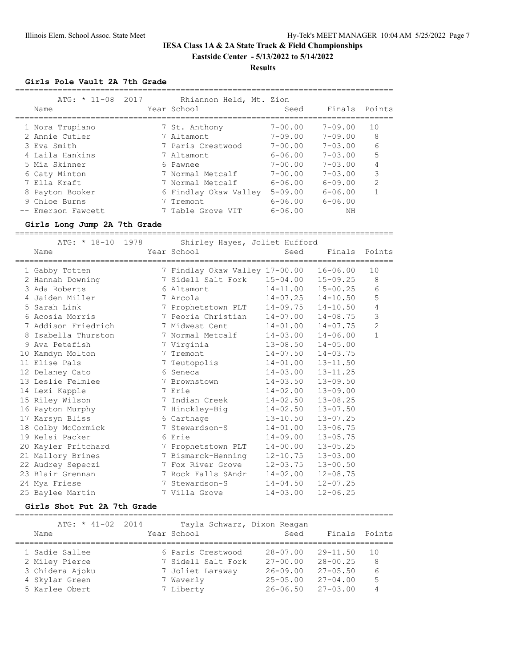# **Results**

#### **Girls Pole Vault 2A 7th Grade**

|   | $ATG: * 11-08$<br>Name | 2017 | Rhiannon Held, Mt. Zion<br>Year School | Seed        | Finals Points  |                |
|---|------------------------|------|----------------------------------------|-------------|----------------|----------------|
|   | 1 Nora Trupiano        |      | 7 St. Anthony                          | $7 - 00.00$ | 7-09.00        | 10             |
|   | 2 Annie Cutler         |      | 7 Altamont                             | $7 - 09.00$ | $7 - 09.00$    | 8              |
|   | 3 Eva Smith            |      | 7 Paris Crestwood                      | $7 - 00.00$ | $7 - 0.3$ , 00 | 6              |
|   | 4 Laila Hankins        |      | 7 Altamont                             | $6 - 06.00$ | $7 - 0.3$ , 00 |                |
|   | 5 Mia Skinner          |      | 6 Pawnee                               | $7 - 00.00$ | $7 - 0.3$ , 00 | 4              |
|   | 6 Caty Minton          |      | 7 Normal Metcalf                       | $7 - 00.00$ | $7 - 0.3$ , 00 | 3              |
|   | 7 Ella Kraft           |      | 7 Normal Metcalf                       | $6 - 06.00$ | $6 - 09.00$    | $\mathfrak{D}$ |
| 8 | Payton Booker          |      | 6 Findlay Okaw Valley                  | $5 - 09.00$ | $6 - 06.00$    |                |
|   | 9 Chloe Burns          |      | 7 Tremont                              | $6 - 06.00$ | $6 - 06.00$    |                |
|   | -- Emerson Fawcett     |      | Table Grove VIT                        | $6 - 06.00$ | NΗ             |                |

#### **Girls Long Jump 2A 7th Grade**

| ========================= |                                              | =============================== |               |                |
|---------------------------|----------------------------------------------|---------------------------------|---------------|----------------|
| ATG: * 18-10 1978<br>Name | Shirley Hayes, Joliet Hufford<br>Year School | Seed                            | Finals Points |                |
| 1 Gabby Totten            | 7 Findlay Okaw Valley 17-00.00               |                                 | $16 - 06.00$  | 10             |
| 2 Hannah Downing          |                                              |                                 |               | 8              |
| 3 Ada Roberts             | 6 Altamont                                   | $14 - 11.00$                    | $15 - 00.25$  | 6              |
| 4 Jaiden Miller           | 7 Arcola                                     | $14 - 07.25$                    | $14 - 10.50$  | 5              |
| 5 Sarah Link              | 7 Prophetstown PLT                           | 14-09.75                        | $14 - 10.50$  | 4              |
| 6 Acosia Morris           | 7 Peoria Christian                           | $14 - 07.00$                    | $14 - 08.75$  | 3              |
| 7 Addison Friedrich       | 7 Midwest Cent                               | $14 - 01.00$                    | $14 - 07.75$  | $\overline{c}$ |
| 8 Isabella Thurston       | 7 Normal Metcalf                             | $14 - 03.00$                    | $14 - 06.00$  | $\mathbf{1}$   |
| 9 Ava Petefish            | 7 Virginia                                   | $13 - 08.50$                    | $14 - 05.00$  |                |
| 10 Kamdyn Molton          | 7 Tremont                                    | $14 - 07.50$                    | $14 - 03.75$  |                |
| 11 Elise Pals             | 7 Teutopolis                                 | $14 - 01.00$                    | $13 - 11.50$  |                |
| 12 Delaney Cato           | 6 Seneca                                     | $14 - 03.00$                    | $13 - 11.25$  |                |
| 13 Leslie Felmlee         | 7 Brownstown                                 | $14 - 03.50$                    | $13 - 09.50$  |                |
| 14 Lexi Kapple            | 7 Erie                                       | $14 - 02.00$                    | $13 - 09.00$  |                |
| 15 Riley Wilson           | 7 Indian Creek                               | $14 - 02.50$                    | $13 - 08.25$  |                |
| 16 Payton Murphy          | 7 Hinckley-Big                               | $14 - 02.50$                    | $13 - 07.50$  |                |
| 17 Karsyn Bliss           | 6 Carthage                                   | $13 - 10.50$                    | $13 - 07.25$  |                |
| 18 Colby McCormick        | 7 Stewardson-S                               | $14 - 01.00$                    | $13 - 06.75$  |                |
| 19 Kelsi Packer           | 6 Erie                                       | $14 - 09.00$                    | $13 - 05.75$  |                |
| 20 Kayler Pritchard       | 7 Prophetstown PLT                           | $14 - 00.00$                    | $13 - 05.25$  |                |
| 21 Mallory Brines         | 7 Bismarck-Henning                           | $12 - 10.75$                    | $13 - 03.00$  |                |
| 22 Audrey Sepeczi         | 7 Fox River Grove                            | $12 - 03.75$                    | $13 - 00.50$  |                |
| 23 Blair Grennan          | 7 Rock Falls SAndr                           | $14 - 02.00$                    | $12 - 08.75$  |                |
| 24 Mya Friese             | 7 Stewardson-S                               | $14 - 04.50$                    | $12 - 07.25$  |                |
| 25 Baylee Martin          | 7 Villa Grove                                | $14 - 03.00$                    | $12 - 06.25$  |                |

#### **Girls Shot Put 2A 7th Grade**

================================================================================ ATG: \* 41-02 2014 Tayla Schwarz, Dixon Reagan

| ATG: ^ 4.L=UZ ZUI4 | Tayla Schwarz, Dixon Reagan |              |               |    |
|--------------------|-----------------------------|--------------|---------------|----|
| Name               | Year School                 | Seed         | Finals Points |    |
| 1 Sadie Sallee     | 6 Paris Crestwood           | $28 - 07.00$ | $29 - 11.50$  | 10 |
| 2 Miley Pierce     | 7 Sidell Salt Fork          | $27 - 00.00$ | $28 - 00.25$  | 8  |
| 3 Chidera Ajoku    | 7 Joliet Laraway            | $26 - 09.00$ | $27 - 05.50$  | 6  |
| 4 Skylar Green     | 7 Waverly                   | $25 - 05.00$ | $27 - 04.00$  | 5  |
| 5 Karlee Obert     | 7 Liberty                   | $26 - 06.50$ | $27 - 03.00$  | 4  |
|                    |                             |              |               |    |